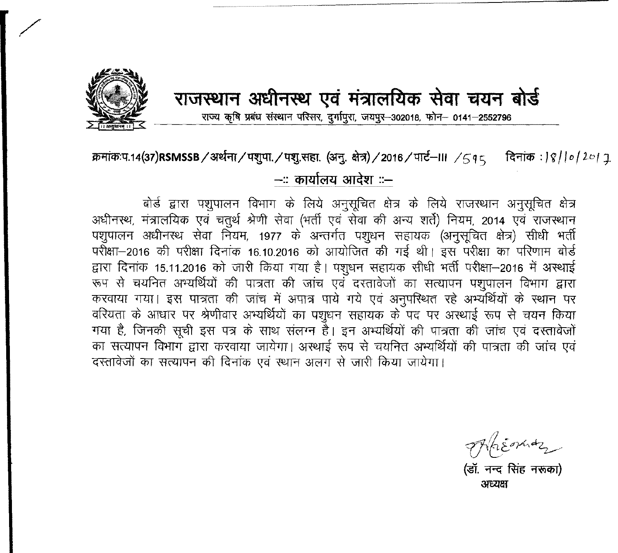

*-:*

## राजस्थान अधीनस्थ एवं मंत्रालयिक सेवा चयन बोर्ड

राज्य कृषि प्रबंध संस्थान परिसर, दर्गापुरा, जयपुर-302018, फोन- 0141-2552796

## क्रमांक:प.14(37)RSMSSB / अर्थना / पशुपा. / पशु.सहा. (अनु. क्षेत्र) / 2016 / पार्ट--III */ 5 q 5 दिनांक : | १ | | ० | २० |* २ --:: कार्यालय आदेश ::--

बोर्ड द्वारा पशुपालन विभाग के लिये अनुसूचित क्षेत्र के लिये राजस्थान अनुसूचित क्षेत्र अधीनस्थ, मंत्रालयिक एवं चतुर्थ श्रेणी सेवा (भर्ती एवं सेवा की अन्य शर्ते) नियम, 2014 एवं राजस्थान पशुपालन अधीनस्थ सेवा नियम, 1977 के अन्तर्गत पशुधन सहायक (अनुसूचित क्षेत्र) सीधी भर्ती परीक्षा-2016 की परीक्षा दिनांक 16.10.2016 को आयोजित की गई थी। इस परीक्षा का परिणाम बोर्ड द्वारा दिनांक 15.11.2016 को जारी किया गया है। पशुधन सहायक सीधी भर्ती परीक्षा-2016 में अस्थाई <sup>रूप से</sup> चयनित अभ्यर्थियों की पात्रता की जांच एवं दस्तावेजों का सत्यापन पशुपालन विभाग द्वारा करवाया गया। इस पात्रता की जांच में अपात्र पाये गये एवं अनुपरिश्चत रहे अभ्यर्थियों के स्थान पर वरियता के आधार पर श्रेणीवार अभ्यर्थियों का पशुधन सहायक के पद पर अस्थाई रूप से चयन किया<br>गया है, जिनकी सूची इस पत्र के साथ संलग्न है। इन अभ्यर्थियों की पात्रता की जांच एवं दस्तावेजों का सत्यापन विभाग द्वारा करवाया जायेगा। अस्थाई रूप से चयनित अभ्यर्थियों की पात्रता की जांच एवं दस्तावेजों का सत्यापन की दिनांक एवं स्थान अलग से जारी किया जायेगा।

*v:~£~~-*

्<br>(डॉ. नन्द सिंह नरूका) अध्यक्ष